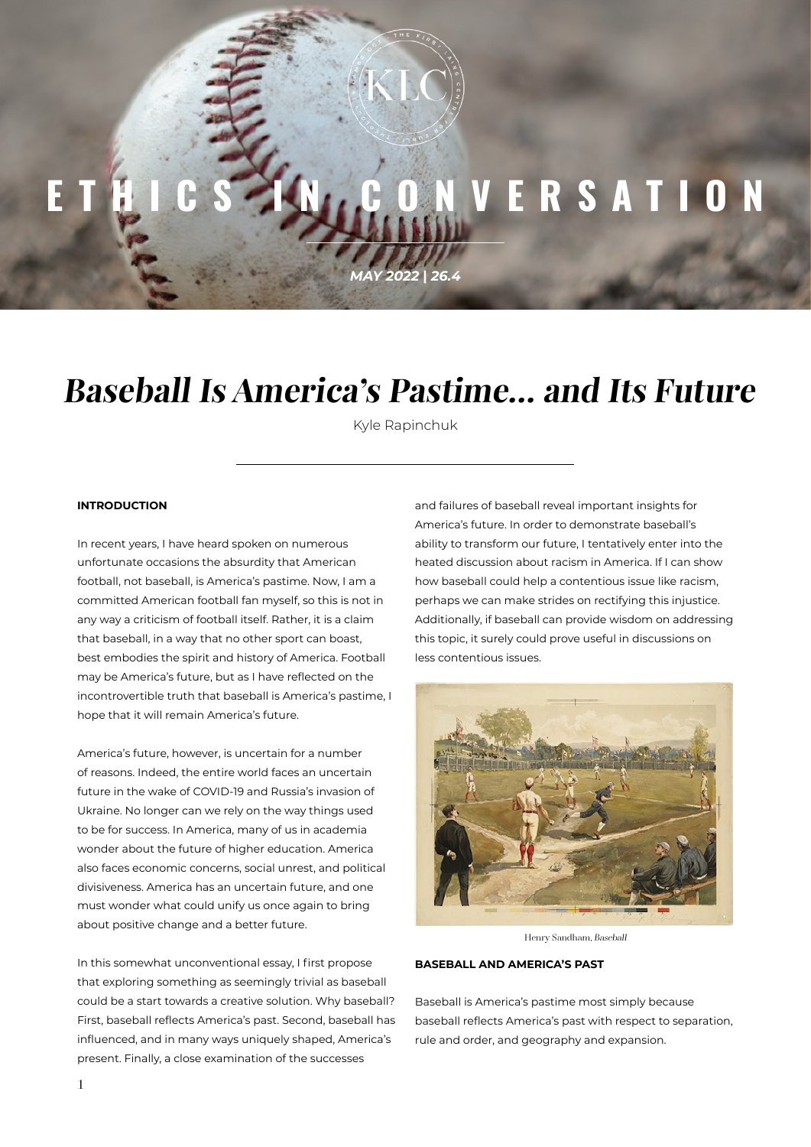# VERSATION

*MAY 2022* **|** *26.4*

## **Baseball Is America's Pastime… and Its Future**

Kyle Rapinchuk

### **INTRODUCTION**

In recent years, I have heard spoken on numerous unfortunate occasions the absurdity that American football, not baseball, is America's pastime. Now, I am a committed American football fan myself, so this is not in any way a criticism of football itself. Rather, it is a claim that baseball, in a way that no other sport can boast, best embodies the spirit and history of America. Football may be America's future, but as I have reflected on the incontrovertible truth that baseball is America's pastime, I hope that it will remain America's future.

America's future, however, is uncertain for a number of reasons. Indeed, the entire world faces an uncertain future in the wake of COVID-19 and Russia's invasion of Ukraine. No longer can we rely on the way things used to be for success. In America, many of us in academia wonder about the future of higher education. America also faces economic concerns, social unrest, and political divisiveness. America has an uncertain future, and one must wonder what could unify us once again to bring about positive change and a better future.

In this somewhat unconventional essay, I first propose that exploring something as seemingly trivial as baseball could be a start towards a creative solution. Why baseball? First, baseball reflects America's past. Second, baseball has influenced, and in many ways uniquely shaped, America's present. Finally, a close examination of the successes

and failures of baseball reveal important insights for America's future. In order to demonstrate baseball's ability to transform our future, I tentatively enter into the heated discussion about racism in America. If I can show how baseball could help a contentious issue like racism, perhaps we can make strides on rectifying this injustice. Additionally, if baseball can provide wisdom on addressing this topic, it surely could prove useful in discussions on less contentious issues.



Henry Sandham, Baseball

#### **BASEBALL AND AMERICA'S PAST**

Baseball is America's pastime most simply because baseball reflects America's past with respect to separation, rule and order, and geography and expansion.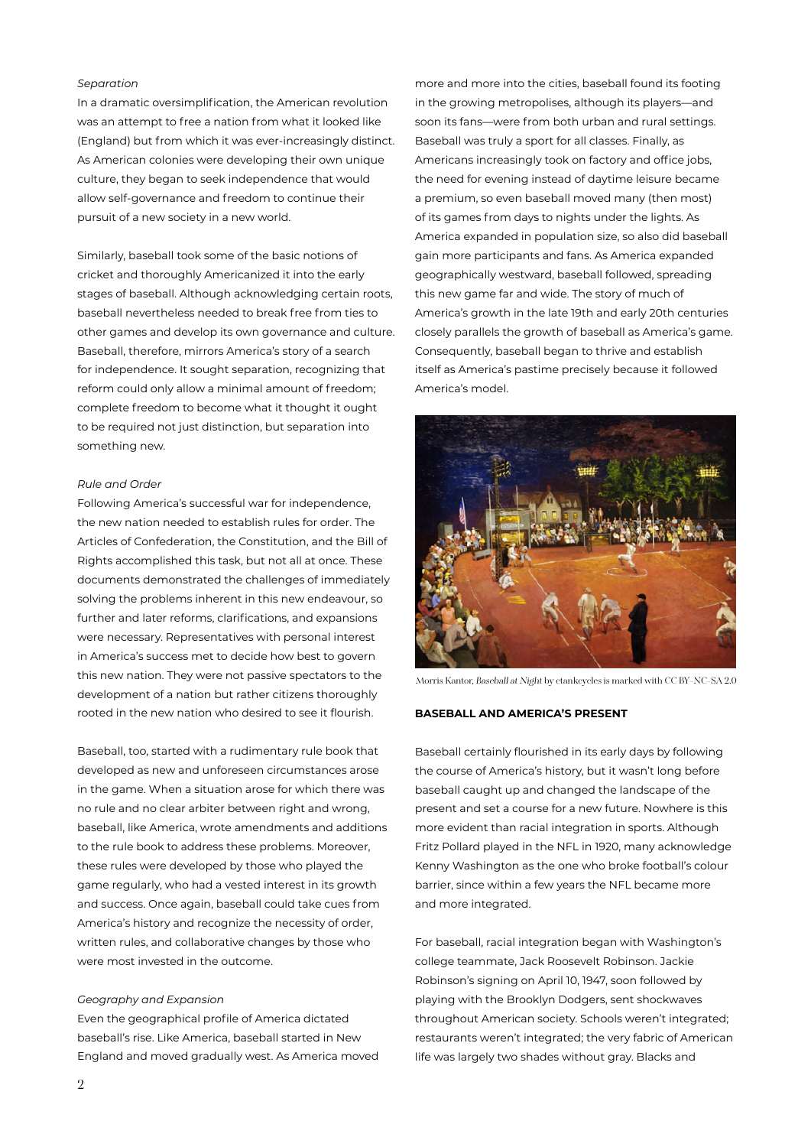#### *Separation*

In a dramatic oversimplification, the American revolution was an attempt to free a nation from what it looked like (England) but from which it was ever-increasingly distinct. As American colonies were developing their own unique culture, they began to seek independence that would allow self-governance and freedom to continue their pursuit of a new society in a new world.

Similarly, baseball took some of the basic notions of cricket and thoroughly Americanized it into the early stages of baseball. Although acknowledging certain roots, baseball nevertheless needed to break free from ties to other games and develop its own governance and culture. Baseball, therefore, mirrors America's story of a search for independence. It sought separation, recognizing that reform could only allow a minimal amount of freedom; complete freedom to become what it thought it ought to be required not just distinction, but separation into something new.

#### *Rule and Order*

Following America's successful war for independence, the new nation needed to establish rules for order. The Articles of Confederation, the Constitution, and the Bill of Rights accomplished this task, but not all at once. These documents demonstrated the challenges of immediately solving the problems inherent in this new endeavour, so further and later reforms, clarifications, and expansions were necessary. Representatives with personal interest in America's success met to decide how best to govern this new nation. They were not passive spectators to the development of a nation but rather citizens thoroughly rooted in the new nation who desired to see it flourish.

Baseball, too, started with a rudimentary rule book that developed as new and unforeseen circumstances arose in the game. When a situation arose for which there was no rule and no clear arbiter between right and wrong, baseball, like America, wrote amendments and additions to the rule book to address these problems. Moreover, these rules were developed by those who played the game regularly, who had a vested interest in its growth and success. Once again, baseball could take cues from America's history and recognize the necessity of order, written rules, and collaborative changes by those who were most invested in the outcome.

#### *Geography and Expansion*

Even the geographical profile of America dictated baseball's rise. Like America, baseball started in New England and moved gradually west. As America moved

more and more into the cities, baseball found its footing in the growing metropolises, although its players—and soon its fans—were from both urban and rural settings. Baseball was truly a sport for all classes. Finally, as Americans increasingly took on factory and office jobs, the need for evening instead of daytime leisure became a premium, so even baseball moved many (then most) of its games from days to nights under the lights. As America expanded in population size, so also did baseball gain more participants and fans. As America expanded geographically westward, baseball followed, spreading this new game far and wide. The story of much of America's growth in the late 19th and early 20th centuries closely parallels the growth of baseball as America's game. Consequently, baseball began to thrive and establish itself as America's pastime precisely because it followed America's model.



Morris Kantor, Baseball at Night by ctankcycles is marked with CC BY-NC-SA 2.0

### **BASEBALL AND AMERICA'S PRESENT**

Baseball certainly flourished in its early days by following the course of America's history, but it wasn't long before baseball caught up and changed the landscape of the present and set a course for a new future. Nowhere is this more evident than racial integration in sports. Although Fritz Pollard played in the NFL in 1920, many acknowledge Kenny Washington as the one who broke football's colour barrier, since within a few years the NFL became more and more integrated.

For baseball, racial integration began with Washington's college teammate, Jack Roosevelt Robinson. Jackie Robinson's signing on April 10, 1947, soon followed by playing with the Brooklyn Dodgers, sent shockwaves throughout American society. Schools weren't integrated; restaurants weren't integrated; the very fabric of American life was largely two shades without gray. Blacks and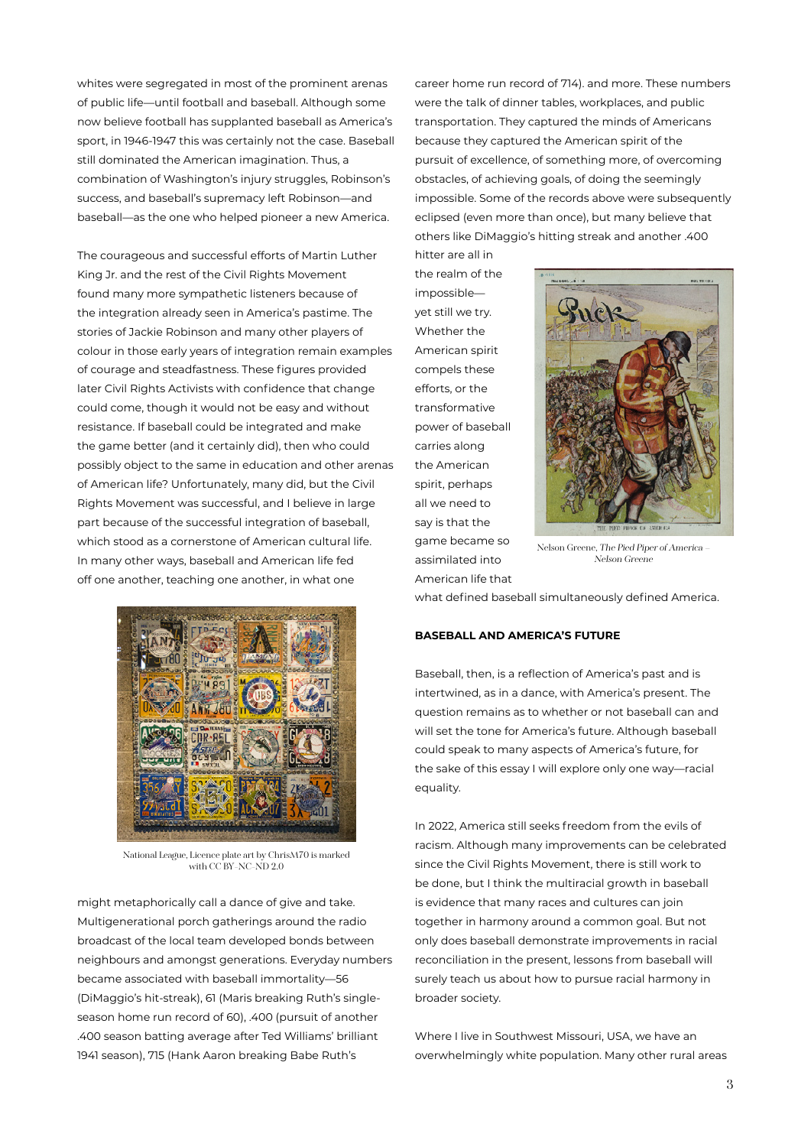whites were segregated in most of the prominent arenas of public life—until football and baseball. Although some now believe football has supplanted baseball as America's sport, in 1946-1947 this was certainly not the case. Baseball still dominated the American imagination. Thus, a combination of Washington's injury struggles, Robinson's success, and baseball's supremacy left Robinson—and baseball—as the one who helped pioneer a new America.

The courageous and successful efforts of Martin Luther King Jr. and the rest of the Civil Rights Movement found many more sympathetic listeners because of the integration already seen in America's pastime. The stories of Jackie Robinson and many other players of colour in those early years of integration remain examples of courage and steadfastness. These figures provided later Civil Rights Activists with confidence that change could come, though it would not be easy and without resistance. If baseball could be integrated and make the game better (and it certainly did), then who could possibly object to the same in education and other arenas of American life? Unfortunately, many did, but the Civil Rights Movement was successful, and I believe in large part because of the successful integration of baseball, which stood as a cornerstone of American cultural life. In many other ways, baseball and American life fed off one another, teaching one another, in what one



National League, Licence plate art by ChrisM70 is marked with CC BY-NC-ND 2.0

might metaphorically call a dance of give and take. Multigenerational porch gatherings around the radio broadcast of the local team developed bonds between neighbours and amongst generations. Everyday numbers became associated with baseball immortality—56 (DiMaggio's hit-streak), 61 (Maris breaking Ruth's singleseason home run record of 60), .400 (pursuit of another .400 season batting average after Ted Williams' brilliant 1941 season), 715 (Hank Aaron breaking Babe Ruth's

career home run record of 714). and more. These numbers were the talk of dinner tables, workplaces, and public transportation. They captured the minds of Americans because they captured the American spirit of the pursuit of excellence, of something more, of overcoming obstacles, of achieving goals, of doing the seemingly impossible. Some of the records above were subsequently eclipsed (even more than once), but many believe that others like DiMaggio's hitting streak and another .400

hitter are all in the realm of the impossible yet still we try. Whether the American spirit compels these efforts, or the transformative power of baseball carries along the American spirit, perhaps all we need to say is that the game became so assimilated into American life that



Nelson Greene, The Pied Piper of America – Nelson Greene

what defined baseball simultaneously defined America.

#### **BASEBALL AND AMERICA'S FUTURE**

Baseball, then, is a reflection of America's past and is intertwined, as in a dance, with America's present. The question remains as to whether or not baseball can and will set the tone for America's future. Although baseball could speak to many aspects of America's future, for the sake of this essay I will explore only one way—racial equality.

In 2022, America still seeks freedom from the evils of racism. Although many improvements can be celebrated since the Civil Rights Movement, there is still work to be done, but I think the multiracial growth in baseball is evidence that many races and cultures can join together in harmony around a common goal. But not only does baseball demonstrate improvements in racial reconciliation in the present, lessons from baseball will surely teach us about how to pursue racial harmony in broader society.

Where I live in Southwest Missouri, USA, we have an overwhelmingly white population. Many other rural areas